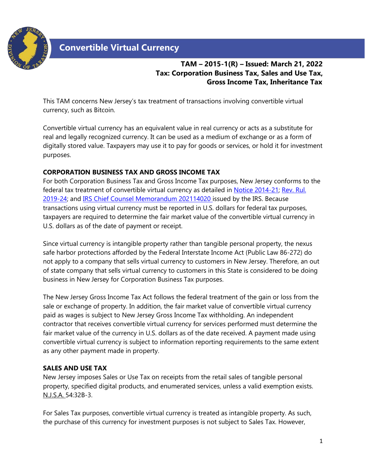

# **Convertible Virtual Currency**

# **TAM – 2015-1(R) – Issued: March 21, 2022 Tax: Corporation Business Tax, Sales and Use Tax, Gross Income Tax, Inheritance Tax**

This TAM concerns New Jersey's tax treatment of transactions involving convertible virtual currency, such as Bitcoin.

Convertible virtual currency has an equivalent value in real currency or acts as a substitute for real and legally recognized currency. It can be used as a medium of exchange or as a form of digitally stored value. Taxpayers may use it to pay for goods or services, or hold it for investment purposes.

#### **CORPORATION BUSINESS TAX AND GROSS INCOME TAX**

For both Corporation Business Tax and Gross Income Tax purposes, New Jersey conforms to the federal tax treatment of convertible virtual currency as detailed in [Notice 2014-21;](https://www.irs.gov/pub/irs-drop/n-14-21.pdf) [Rev. Rul.](https://www.irs.gov/pub/irs-drop/rr-19-24.pdf) [2019-24;](https://www.irs.gov/pub/irs-drop/rr-19-24.pdf) and [IRS Chief Counsel Memorandum 202114020 i](https://www.irs.gov/pub/irs-wd/202114020.pdf)ssued by the IRS. Because transactions using virtual currency must be reported in U.S. dollars for federal tax purposes, taxpayers are required to determine the fair market value of the convertible virtual currency in U.S. dollars as of the date of payment or receipt.

Since virtual currency is intangible property rather than tangible personal property, the nexus safe harbor protections afforded by the Federal Interstate Income Act (Public Law 86-272) do not apply to a company that sells virtual currency to customers in New Jersey. Therefore, an out of state company that sells virtual currency to customers in this State is considered to be doing business in New Jersey for Corporation Business Tax purposes.

The New Jersey Gross Income Tax Act follows the federal treatment of the gain or loss from the sale or exchange of property. In addition, the fair market value of convertible virtual currency paid as wages is subject to New Jersey Gross Income Tax withholding. An independent contractor that receives convertible virtual currency for services performed must determine the fair market value of the currency in U.S. dollars as of the date received. A payment made using convertible virtual currency is subject to information reporting requirements to the same extent as any other payment made in property.

## **SALES AND USE TAX**

New Jersey imposes Sales or Use Tax on receipts from the retail sales of tangible personal property, specified digital products, and enumerated services, unless a valid exemption exists. N.J.S.A. 54:32B-3.

For Sales Tax purposes, convertible virtual currency is treated as intangible property. As such, the purchase of this currency for investment purposes is not subject to Sales Tax. However,